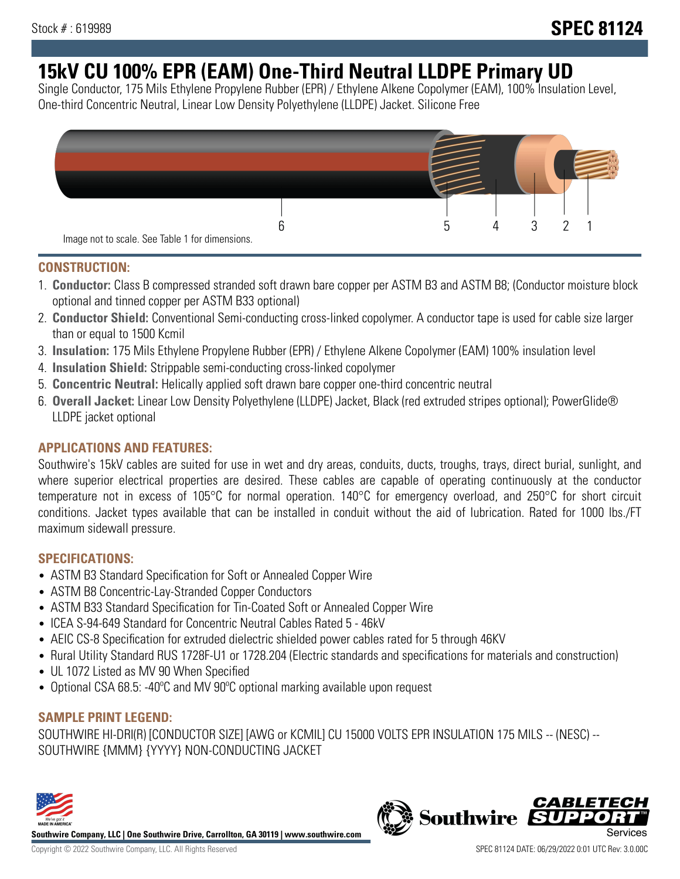# **15kV CU 100% EPR (EAM) One-Third Neutral LLDPE Primary UD**

Single Conductor, 175 Mils Ethylene Propylene Rubber (EPR) / Ethylene Alkene Copolymer (EAM), 100% Insulation Level, One-third Concentric Neutral, Linear Low Density Polyethylene (LLDPE) Jacket. Silicone Free



### **CONSTRUCTION:**

- 1. **Conductor:** Class B compressed stranded soft drawn bare copper per ASTM B3 and ASTM B8; (Conductor moisture block optional and tinned copper per ASTM B33 optional)
- 2. **Conductor Shield:** Conventional Semi-conducting cross-linked copolymer. A conductor tape is used for cable size larger than or equal to 1500 Kcmil
- 3. **Insulation:** 175 Mils Ethylene Propylene Rubber (EPR) / Ethylene Alkene Copolymer (EAM) 100% insulation level
- 4. **Insulation Shield:** Strippable semi-conducting cross-linked copolymer
- 5. **Concentric Neutral:** Helically applied soft drawn bare copper one-third concentric neutral
- 6. **Overall Jacket:** Linear Low Density Polyethylene (LLDPE) Jacket, Black (red extruded stripes optional); PowerGlide® LLDPE jacket optional

## **APPLICATIONS AND FEATURES:**

Southwire's 15kV cables are suited for use in wet and dry areas, conduits, ducts, troughs, trays, direct burial, sunlight, and where superior electrical properties are desired. These cables are capable of operating continuously at the conductor temperature not in excess of 105°C for normal operation. 140°C for emergency overload, and 250°C for short circuit conditions. Jacket types available that can be installed in conduit without the aid of lubrication. Rated for 1000 lbs./FT maximum sidewall pressure.

## **SPECIFICATIONS:**

- ASTM B3 Standard Specification for Soft or Annealed Copper Wire
- ASTM B8 Concentric-Lay-Stranded Copper Conductors
- ASTM B33 Standard Specification for Tin-Coated Soft or Annealed Copper Wire
- ICEA S-94-649 Standard for Concentric Neutral Cables Rated 5 46kV
- AEIC CS-8 Specification for extruded dielectric shielded power cables rated for 5 through 46KV
- Rural Utility Standard RUS 1728F-U1 or 1728.204 (Electric standards and specifications for materials and construction)
- UL 1072 Listed as MV 90 When Specified
- Optional CSA 68.5: -40°C and MV 90°C optional marking available upon request

### **SAMPLE PRINT LEGEND:**

SOUTHWIRE HI-DRI(R) [CONDUCTOR SIZE] [AWG or KCMIL] CU 15000 VOLTS EPR INSULATION 175 MILS -- (NESC) -- SOUTHWIRE {MMM} {YYYY} NON-CONDUCTING JACKET



**Southwire Company, LLC | One Southwire Drive, Carrollton, GA 30119 | www.southwire.com**